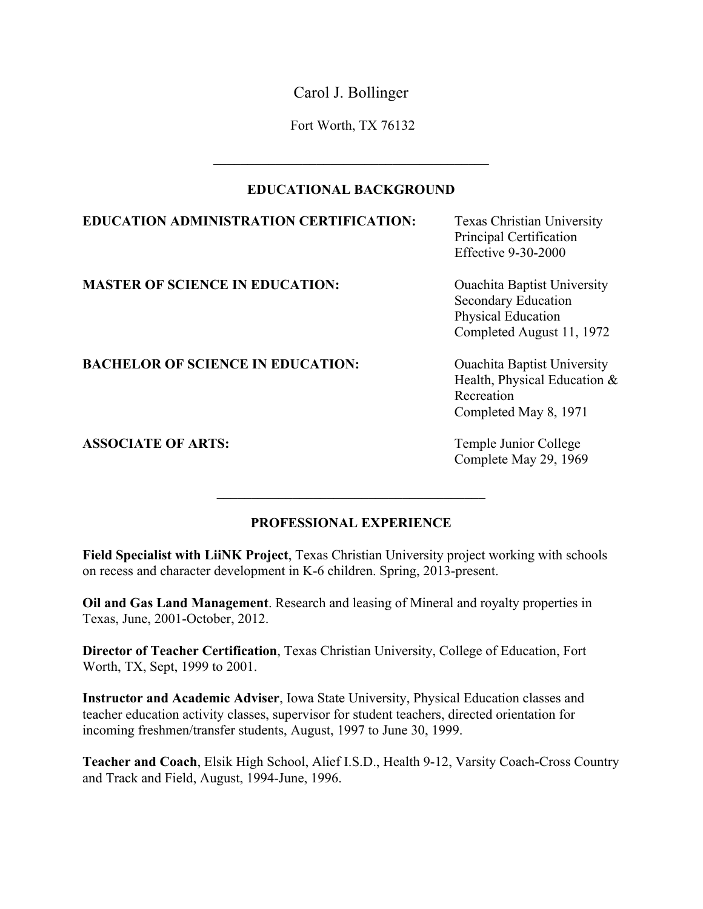Carol J. Bollinger

Fort Worth, TX 76132

### **EDUCATIONAL BACKGROUND**

 $\mathcal{L}_\text{max}$  and  $\mathcal{L}_\text{max}$  and  $\mathcal{L}_\text{max}$  and  $\mathcal{L}_\text{max}$ 

# **EDUCATION ADMINISTRATION CERTIFICATION:** Texas Christian University

**MASTER OF SCIENCE IN EDUCATION:** Ouachita Baptist University

Principal Certification Effective 9-30-2000

Secondary Education Physical Education Completed August 11, 1972

Health, Physical Education & Recreation Completed May 8, 1971

Complete May 29, 1969

# **BACHELOR OF SCIENCE IN EDUCATION:** Ouachita Baptist University

**ASSOCIATE OF ARTS:** Temple Junior College

# **PROFESSIONAL EXPERIENCE**

 $\mathcal{L}_\text{max}$ 

**Field Specialist with LiiNK Project**, Texas Christian University project working with schools on recess and character development in K-6 children. Spring, 2013-present.

**Oil and Gas Land Management**. Research and leasing of Mineral and royalty properties in Texas, June, 2001-October, 2012.

**Director of Teacher Certification**, Texas Christian University, College of Education, Fort Worth, TX, Sept, 1999 to 2001.

**Instructor and Academic Adviser**, Iowa State University, Physical Education classes and teacher education activity classes, supervisor for student teachers, directed orientation for incoming freshmen/transfer students, August, 1997 to June 30, 1999.

**Teacher and Coach**, Elsik High School, Alief I.S.D., Health 9-12, Varsity Coach-Cross Country and Track and Field, August, 1994-June, 1996.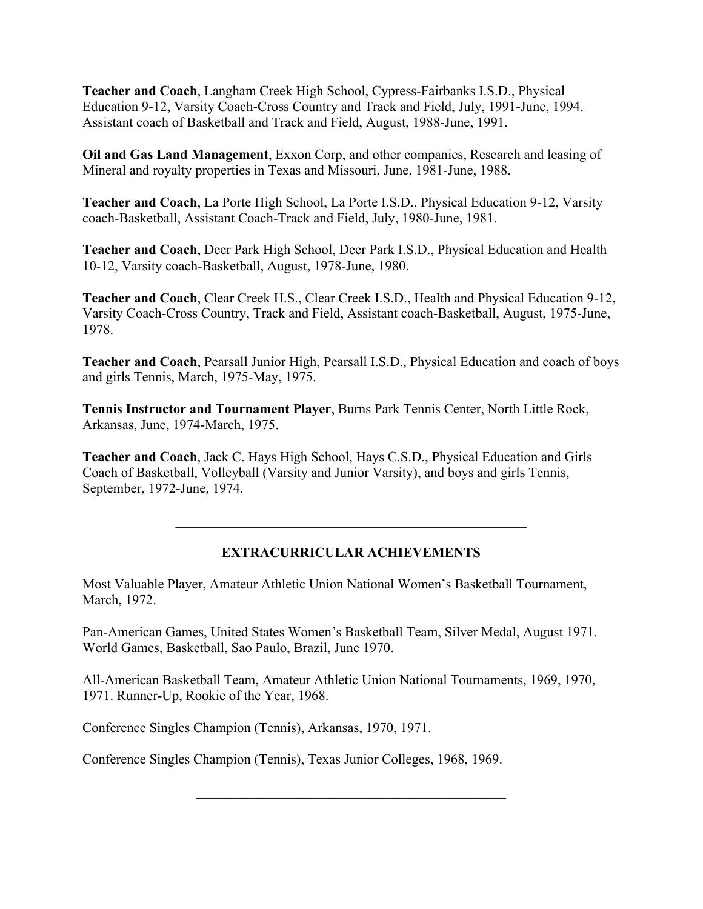**Teacher and Coach**, Langham Creek High School, Cypress-Fairbanks I.S.D., Physical Education 9-12, Varsity Coach-Cross Country and Track and Field, July, 1991-June, 1994. Assistant coach of Basketball and Track and Field, August, 1988-June, 1991.

**Oil and Gas Land Management**, Exxon Corp, and other companies, Research and leasing of Mineral and royalty properties in Texas and Missouri, June, 1981-June, 1988.

**Teacher and Coach**, La Porte High School, La Porte I.S.D., Physical Education 9-12, Varsity coach-Basketball, Assistant Coach-Track and Field, July, 1980-June, 1981.

**Teacher and Coach**, Deer Park High School, Deer Park I.S.D., Physical Education and Health 10-12, Varsity coach-Basketball, August, 1978-June, 1980.

**Teacher and Coach**, Clear Creek H.S., Clear Creek I.S.D., Health and Physical Education 9-12, Varsity Coach-Cross Country, Track and Field, Assistant coach-Basketball, August, 1975-June, 1978.

**Teacher and Coach**, Pearsall Junior High, Pearsall I.S.D., Physical Education and coach of boys and girls Tennis, March, 1975-May, 1975.

**Tennis Instructor and Tournament Player**, Burns Park Tennis Center, North Little Rock, Arkansas, June, 1974-March, 1975.

**Teacher and Coach**, Jack C. Hays High School, Hays C.S.D., Physical Education and Girls Coach of Basketball, Volleyball (Varsity and Junior Varsity), and boys and girls Tennis, September, 1972-June, 1974.

# **EXTRACURRICULAR ACHIEVEMENTS**

 $\mathcal{L}_\text{max}$  , and the contract of the contract of the contract of the contract of the contract of the contract of the contract of the contract of the contract of the contract of the contract of the contract of the contr

Most Valuable Player, Amateur Athletic Union National Women's Basketball Tournament, March, 1972.

Pan-American Games, United States Women's Basketball Team, Silver Medal, August 1971. World Games, Basketball, Sao Paulo, Brazil, June 1970.

All-American Basketball Team, Amateur Athletic Union National Tournaments, 1969, 1970, 1971. Runner-Up, Rookie of the Year, 1968.

 $\mathcal{L}_\text{max}$  and  $\mathcal{L}_\text{max}$  and  $\mathcal{L}_\text{max}$  and  $\mathcal{L}_\text{max}$  and  $\mathcal{L}_\text{max}$ 

Conference Singles Champion (Tennis), Arkansas, 1970, 1971.

Conference Singles Champion (Tennis), Texas Junior Colleges, 1968, 1969.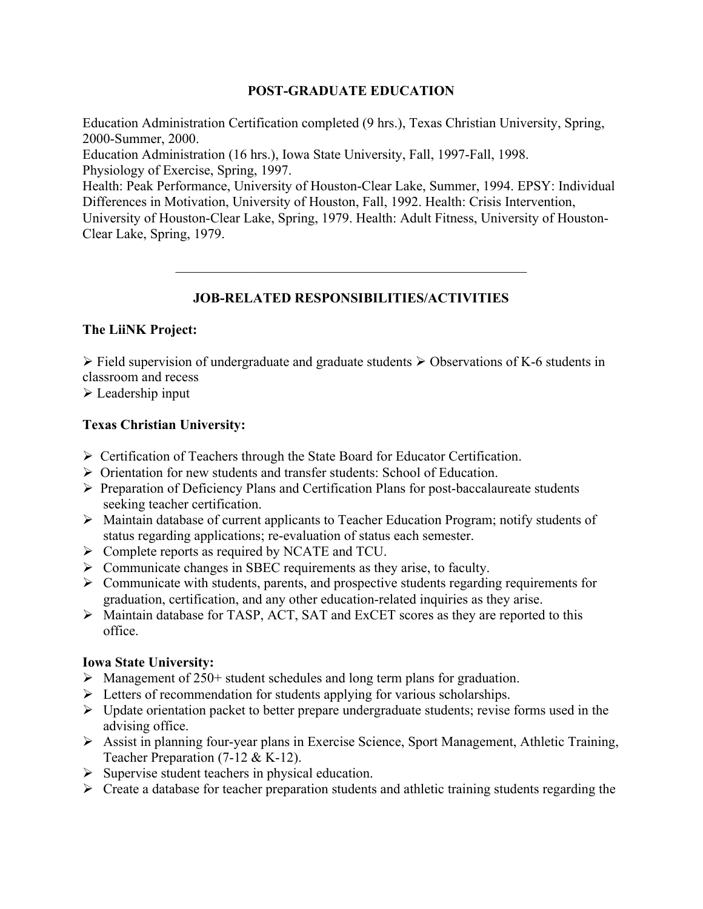### **POST-GRADUATE EDUCATION**

Education Administration Certification completed (9 hrs.), Texas Christian University, Spring, 2000-Summer, 2000. Education Administration (16 hrs.), Iowa State University, Fall, 1997-Fall, 1998.

Physiology of Exercise, Spring, 1997. Health: Peak Performance, University of Houston-Clear Lake, Summer, 1994. EPSY: Individual Differences in Motivation, University of Houston, Fall, 1992. Health: Crisis Intervention, University of Houston-Clear Lake, Spring, 1979. Health: Adult Fitness, University of Houston-

### Clear Lake, Spring, 1979.

# **JOB-RELATED RESPONSIBILITIES/ACTIVITIES**

 $\mathcal{L}_\text{max}$  , and the contract of the contract of the contract of the contract of the contract of the contract of the contract of the contract of the contract of the contract of the contract of the contract of the contr

### **The LiiNK Project:**

 $\triangleright$  Field supervision of undergraduate and graduate students  $\triangleright$  Observations of K-6 students in classroom and recess

 $\triangleright$  Leadership input

### **Texas Christian University:**

- Ø Certification of Teachers through the State Board for Educator Certification.
- Ø Orientation for new students and transfer students: School of Education.
- Ø Preparation of Deficiency Plans and Certification Plans for post-baccalaureate students seeking teacher certification.
- Ø Maintain database of current applicants to Teacher Education Program; notify students of status regarding applications; re-evaluation of status each semester.
- Ø Complete reports as required by NCATE and TCU.
- $\triangleright$  Communicate changes in SBEC requirements as they arise, to faculty.
- $\triangleright$  Communicate with students, parents, and prospective students regarding requirements for graduation, certification, and any other education-related inquiries as they arise.
- Ø Maintain database for TASP, ACT, SAT and ExCET scores as they are reported to this office.

### **Iowa State University:**

- $\triangleright$  Management of 250+ student schedules and long term plans for graduation.
- $\triangleright$  Letters of recommendation for students applying for various scholarships.
- $\triangleright$  Update orientation packet to better prepare undergraduate students; revise forms used in the advising office.
- Ø Assist in planning four-year plans in Exercise Science, Sport Management, Athletic Training, Teacher Preparation (7-12 & K-12).
- $\triangleright$  Supervise student teachers in physical education.
- $\triangleright$  Create a database for teacher preparation students and athletic training students regarding the